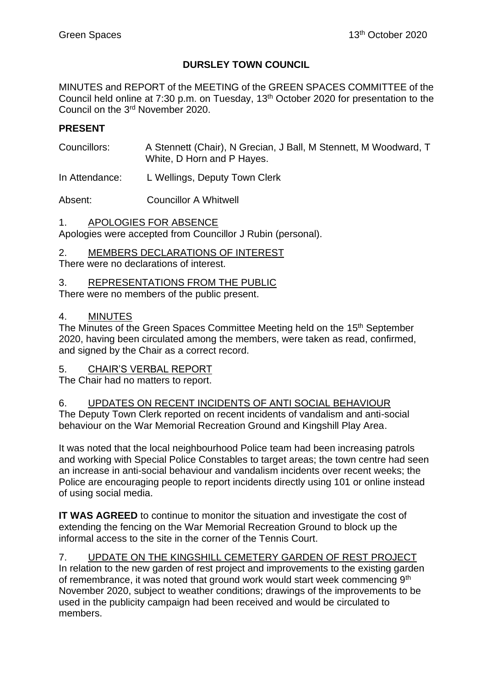# **DURSLEY TOWN COUNCIL**

MINUTES and REPORT of the MEETING of the GREEN SPACES COMMITTEE of the Council held online at 7:30 p.m. on Tuesday, 13<sup>th</sup> October 2020 for presentation to the Council on the 3rd November 2020.

### **PRESENT**

- Councillors: A Stennett (Chair), N Grecian, J Ball, M Stennett, M Woodward, T White, D Horn and P Hayes.
- In Attendance: L Wellings, Deputy Town Clerk

Absent: Councillor A Whitwell

1. APOLOGIES FOR ABSENCE Apologies were accepted from Councillor J Rubin (personal).

2. MEMBERS DECLARATIONS OF INTEREST

There were no declarations of interest.

### 3. REPRESENTATIONS FROM THE PUBLIC

There were no members of the public present.

#### 4. MINUTES

The Minutes of the Green Spaces Committee Meeting held on the 15<sup>th</sup> September 2020, having been circulated among the members, were taken as read, confirmed, and signed by the Chair as a correct record.

## 5. CHAIR'S VERBAL REPORT

The Chair had no matters to report.

## 6. UPDATES ON RECENT INCIDENTS OF ANTI SOCIAL BEHAVIOUR

The Deputy Town Clerk reported on recent incidents of vandalism and anti-social behaviour on the War Memorial Recreation Ground and Kingshill Play Area.

It was noted that the local neighbourhood Police team had been increasing patrols and working with Special Police Constables to target areas; the town centre had seen an increase in anti-social behaviour and vandalism incidents over recent weeks; the Police are encouraging people to report incidents directly using 101 or online instead of using social media.

**IT WAS AGREED** to continue to monitor the situation and investigate the cost of extending the fencing on the War Memorial Recreation Ground to block up the informal access to the site in the corner of the Tennis Court.

## 7. UPDATE ON THE KINGSHILL CEMETERY GARDEN OF REST PROJECT

In relation to the new garden of rest project and improvements to the existing garden of remembrance, it was noted that ground work would start week commencing 9<sup>th</sup> November 2020, subject to weather conditions; drawings of the improvements to be used in the publicity campaign had been received and would be circulated to members.